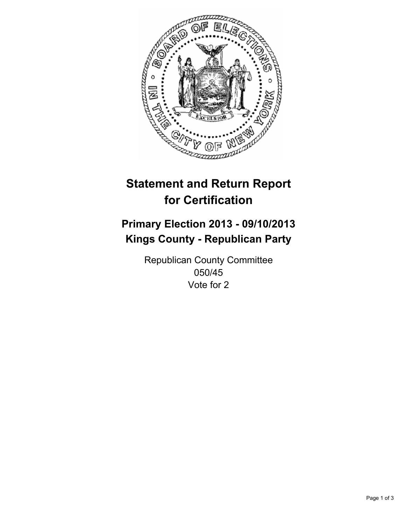

# **Statement and Return Report for Certification**

# **Primary Election 2013 - 09/10/2013 Kings County - Republican Party**

Republican County Committee 050/45 Vote for 2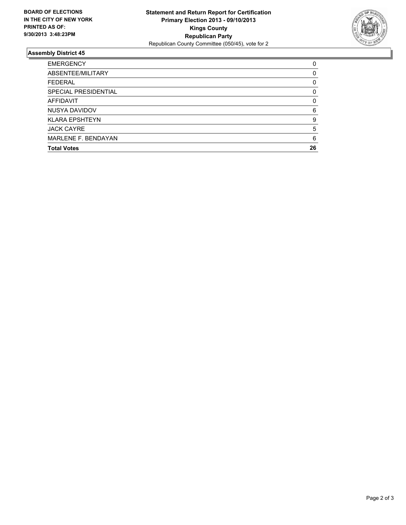

## **Assembly District 45**

| <b>EMERGENCY</b>           | 0        |
|----------------------------|----------|
| ABSENTEE/MILITARY          | 0        |
| <b>FEDERAL</b>             | 0        |
| SPECIAL PRESIDENTIAL       | 0        |
| AFFIDAVIT                  | $\Omega$ |
| NUSYA DAVIDOV              | 6        |
| <b>KLARA EPSHTEYN</b>      | 9        |
| <b>JACK CAYRE</b>          | 5        |
| <b>MARLENE F. BENDAYAN</b> | 6        |
| <b>Total Votes</b>         | 26       |
|                            |          |